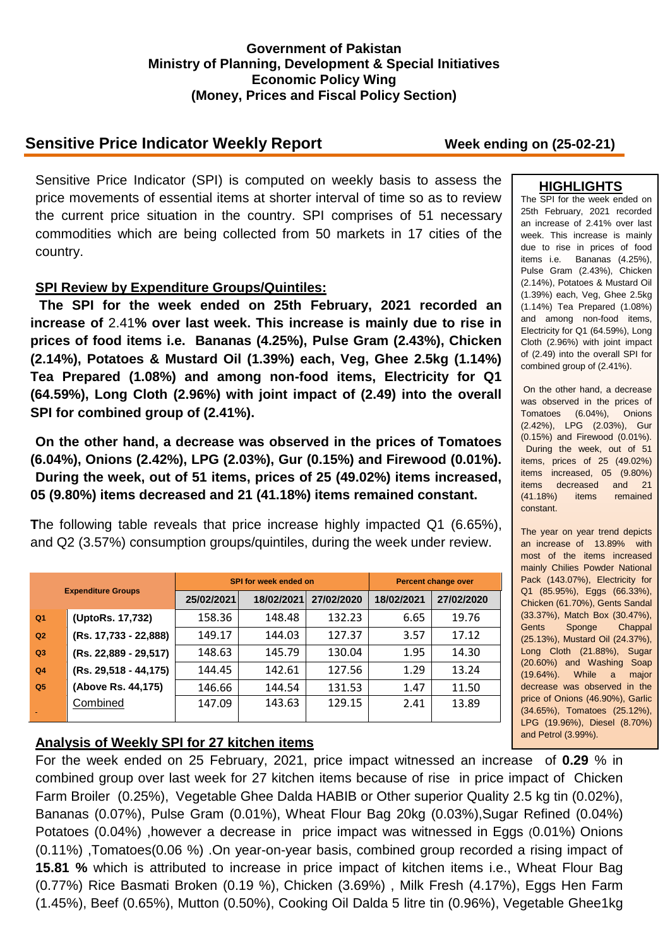### **Government of Pakistan Ministry of Planning, Development & Special Initiatives Economic Policy Wing (Money, Prices and Fiscal Policy Section)**

# **Sensitive Price Indicator Weekly Report Week ending on (25-02-21)**

Sensitive Price Indicator (SPI) is computed on weekly basis to assess the price movements of essential items at shorter interval of time so as to review the current price situation in the country. SPI comprises of 51 necessary commodities which are being collected from 50 markets in 17 cities of the country.

## **SPI Review by Expenditure Groups/Quintiles:**

**The SPI for the week ended on 25th February, 2021 recorded an increase of** 2.41**% over last week. This increase is mainly due to rise in prices of food items i.e. Bananas (4.25%), Pulse Gram (2.43%), Chicken (2.14%), Potatoes & Mustard Oil (1.39%) each, Veg, Ghee 2.5kg (1.14%) Tea Prepared (1.08%) and among non-food items, Electricity for Q1 (64.59%), Long Cloth (2.96%) with joint impact of (2.49) into the overall SPI for combined group of (2.41%).**

**On the other hand, a decrease was observed in the prices of Tomatoes (6.04%), Onions (2.42%), LPG (2.03%), Gur (0.15%) and Firewood (0.01%). During the week, out of 51 items, prices of 25 (49.02%) items increased, 05 (9.80%) items decreased and 21 (41.18%) items remained constant.**

**T**he following table reveals that price increase highly impacted Q1 (6.65%), and Q2 (3.57%) consumption groups/quintiles, during the week under review.

| <b>Expenditure Groups</b> |                       |            | SPI for week ended on | <b>Percent change over</b> |            |            |
|---------------------------|-----------------------|------------|-----------------------|----------------------------|------------|------------|
|                           |                       | 25/02/2021 | 18/02/2021            | 27/02/2020                 | 18/02/2021 | 27/02/2020 |
| Q <sub>1</sub>            | (UptoRs. 17,732)      | 158.36     | 148.48                | 132.23                     | 6.65       | 19.76      |
| Q2                        | (Rs. 17,733 - 22,888) | 149.17     | 144.03                | 127.37                     | 3.57       | 17.12      |
| Q3                        | (Rs. 22,889 - 29,517) | 148.63     | 145.79                | 130.04                     | 1.95       | 14.30      |
| Q <sub>4</sub>            | (Rs. 29,518 - 44,175) | 144.45     | 142.61                | 127.56                     | 1.29       | 13.24      |
| Q <sub>5</sub>            | (Above Rs. 44,175)    | 146.66     | 144.54                | 131.53                     | 1.47       | 11.50      |
|                           | Combined              | 147.09     | 143.63                | 129.15                     | 2.41       | 13.89      |

## **Analysis of Weekly SPI for 27 kitchen items**

For the week ended on 25 February, 2021, price impact witnessed an increase of **0.29** % in combined group over last week for 27 kitchen items because of rise in price impact of Chicken Farm Broiler (0.25%), Vegetable Ghee Dalda HABIB or Other superior Quality 2.5 kg tin (0.02%), Bananas (0.07%), Pulse Gram (0.01%), Wheat Flour Bag 20kg (0.03%),Sugar Refined (0.04%) Potatoes (0.04%) ,however a decrease in price impact was witnessed in Eggs (0.01%) Onions (0.11%) ,Tomatoes(0.06 %) .On year-on-year basis, combined group recorded a rising impact of **15.81 %** which is attributed to increase in price impact of kitchen items i.e., Wheat Flour Bag (0.77%) Rice Basmati Broken (0.19 %), Chicken (3.69%) , Milk Fresh (4.17%), Eggs Hen Farm (1.45%), Beef (0.65%), Mutton (0.50%), Cooking Oil Dalda 5 litre tin (0.96%), Vegetable Ghee1kg

### **HIGHLIGHTS**

The SPI for the week ended on 25th February, 2021 recorded an increase of 2.41% over last week. This increase is mainly due to rise in prices of food items i.e. Bananas (4.25%), Pulse Gram (2.43%), Chicken (2.14%), Potatoes & Mustard Oil (1.39%) each, Veg, Ghee 2.5kg (1.14%) Tea Prepared (1.08%) and among non-food items, Electricity for Q1 (64.59%), Long Cloth (2.96%) with joint impact of (2.49) into the overall SPI for combined group of (2.41%).

On the other hand, a decrease was observed in the prices of Tomatoes (6.04%), Onions (2.42%), LPG (2.03%), Gur (0.15%) and Firewood (0.01%). During the week, out of 51 items, prices of 25 (49.02%) items increased, 05 (9.80%) items decreased and 21 (41.18%) items remained constant.

The year on year trend depicts an increase of 13.89% with most of the items increased mainly Chilies Powder National Pack (143.07%), Electricity for Q1 (85.95%), Eggs (66.33%), Chicken (61.70%), Gents Sandal (33.37%), Match Box (30.47%), Gents Sponge Chappal (25.13%), Mustard Oil (24.37%), Long Cloth (21.88%), Sugar (20.60%) and Washing Soap (19.64%). While a major decrease was observed in the price of Onions (46.90%), Garlic (34.65%), Tomatoes (25.12%), LPG (19.96%), Diesel (8.70%) and Petrol (3.99%).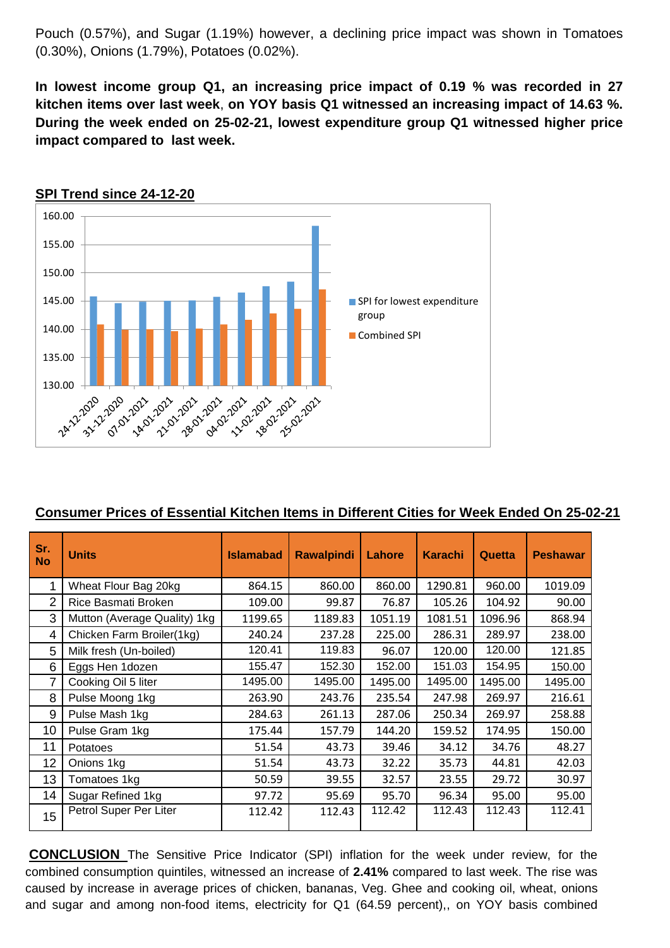Pouch (0.57%), and Sugar (1.19%) however, a declining price impact was shown in Tomatoes (0.30%), Onions (1.79%), Potatoes (0.02%).

**In lowest income group Q1, an increasing price impact of 0.19 % was recorded in 27 kitchen items over last week**, **on YOY basis Q1 witnessed an increasing impact of 14.63 %. During the week ended on 25-02-21, lowest expenditure group Q1 witnessed higher price impact compared to last week.**



### **SPI Trend since 24-12-20**

### **Consumer Prices of Essential Kitchen Items in Different Cities for Week Ended On 25-02-21**

| Sr.<br><b>No</b> | <b>Units</b>                 | <b>Islamabad</b> | <b>Rawalpindi</b> | Lahore  | <b>Karachi</b> | Quetta  | <b>Peshawar</b> |
|------------------|------------------------------|------------------|-------------------|---------|----------------|---------|-----------------|
| 1                | Wheat Flour Bag 20kg         | 864.15           | 860.00            | 860.00  | 1290.81        | 960.00  | 1019.09         |
| 2                | Rice Basmati Broken          | 109.00           | 99.87             | 76.87   | 105.26         | 104.92  | 90.00           |
| 3                | Mutton (Average Quality) 1kg | 1199.65          | 1189.83           | 1051.19 | 1081.51        | 1096.96 | 868.94          |
| 4                | Chicken Farm Broiler(1kg)    | 240.24           | 237.28            | 225.00  | 286.31         | 289.97  | 238.00          |
| 5                | Milk fresh (Un-boiled)       | 120.41           | 119.83            | 96.07   | 120.00         | 120.00  | 121.85          |
| 6                | Eggs Hen 1dozen              | 155.47           | 152.30            | 152.00  | 151.03         | 154.95  | 150.00          |
| 7                | Cooking Oil 5 liter          | 1495.00          | 1495.00           | 1495.00 | 1495.00        | 1495.00 | 1495.00         |
| 8                | Pulse Moong 1kg              | 263.90           | 243.76            | 235.54  | 247.98         | 269.97  | 216.61          |
| 9                | Pulse Mash 1kg               | 284.63           | 261.13            | 287.06  | 250.34         | 269.97  | 258.88          |
| 10               | Pulse Gram 1kg               | 175.44           | 157.79            | 144.20  | 159.52         | 174.95  | 150.00          |
| 11               | Potatoes                     | 51.54            | 43.73             | 39.46   | 34.12          | 34.76   | 48.27           |
| 12               | Onions 1kg                   | 51.54            | 43.73             | 32.22   | 35.73          | 44.81   | 42.03           |
| 13               | Tomatoes 1kg                 | 50.59            | 39.55             | 32.57   | 23.55          | 29.72   | 30.97           |
| 14               | Sugar Refined 1kg            | 97.72            | 95.69             | 95.70   | 96.34          | 95.00   | 95.00           |
| 15               | Petrol Super Per Liter       | 112.42           | 112.43            | 112.42  | 112.43         | 112.43  | 112.41          |

**CONCLUSION** The Sensitive Price Indicator (SPI) inflation for the week under review, for the combined consumption quintiles, witnessed an increase of **2.41%** compared to last week. The rise was caused by increase in average prices of chicken, bananas, Veg. Ghee and cooking oil, wheat, onions and sugar and among non-food items, electricity for Q1 (64.59 percent),, on YOY basis combined